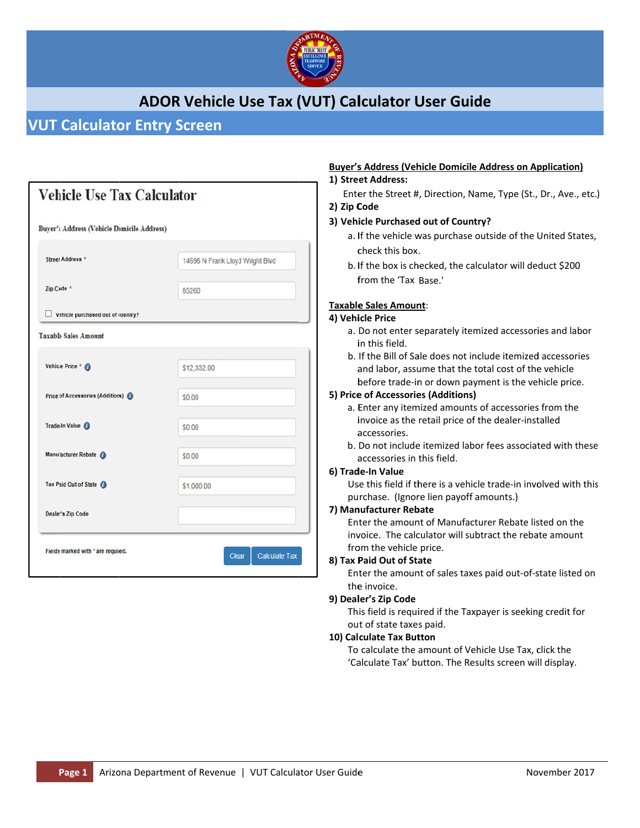

## **ADOR Vehicle Use Tax (VUT) Calculator User Guide**

### **VUT Calculator Entry Screen**

| <b>Buyer's Address (Vehicle Domicile Address)</b> |                                 |  |  |
|---------------------------------------------------|---------------------------------|--|--|
| Street Address <sup>1</sup>                       | 14696 N Frank Lloyd Wright Blvd |  |  |
| Zip Code *                                        | 85260                           |  |  |
| Vehicle purchased out of country?                 |                                 |  |  |
| <b>Taxable Sales Amount</b>                       |                                 |  |  |
| Vehicle Price * 0                                 | \$12,332.00                     |  |  |
| Price of Accessories (Additions)                  | \$0.00                          |  |  |
| Trade-In Value                                    | \$0.00                          |  |  |
| Manufacturer Rebate                               | \$0.00                          |  |  |
| Tax Paid Out of State O                           | \$1,000.00                      |  |  |
| Dealer's Zip Code                                 |                                 |  |  |

### **Buyer's Address (Vehicle Domicile Address on Application)**

#### 1) Street Address:

Enter the Street #, Direction, Name, Type (St., Dr., Ave., etc.) 2) Zip Code

#### 3) Vehicle Purchased out of Country?

- a. If the vehicle was purchase outside of the United States, check this box.
- b. If the box is checked, the calculator will deduct \$200 from the 'Tax Base.'

#### Taxable Sales Amount:

#### 4) Vehicle Price

- a. Do not enter separately itemized accessories and labor in this field.
- b. If the Bill of Sale does not include itemized accessories and labor, assume that the total cost of the vehicle before trade-in or down payment is the vehicle price.

#### 5) Price of Accessories (Additions)

- a. Enter any itemized amounts of accessories from the invoice as the retail price of the dealer-installed accessories.
- b. Do not include itemized labor fees associated with these accessories in this field.

#### 6) Trade-In Value

Use this field if there is a vehicle trade-in involved with this purchase. (Ignore lien payoff amounts.)

#### 7) Manufacturer Rebate

Enter the amount of Manufacturer Rebate listed on the invoice. The calculator will subtract the rebate amount from the vehicle price.

#### 8) Tax Paid Out of State

Enter the amount of sales taxes paid out-of-state listed on the invoice.

#### 9) Dealer's Zip Code

This field is required if the Taxpayer is seeking credit for out of state taxes paid.

#### 10) Calculate Tax Button

To calculate the amount of Vehicle Use Tax, click the 'Calculate Tax' button. The Results screen will display.